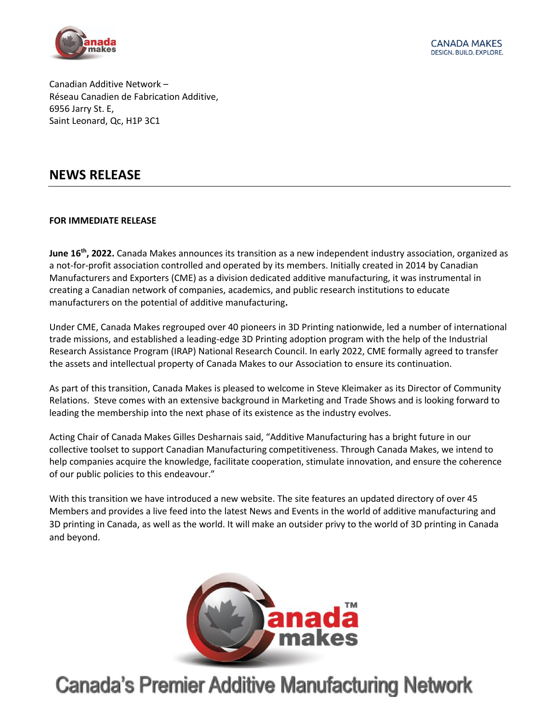

Canadian Additive Network – Réseau Canadien de Fabrication Additive, 6956 Jarry St. E, Saint Leonard, Qc, H1P 3C1

### **NEWS RELEASE**

### **FOR IMMEDIATE RELEASE**

**June 16<sup>th</sup>, 2022.** Canada Makes announces its transition as a new independent industry association, organized as a not-for-profit association controlled and operated by its members. Initially created in 2014 by Canadian Manufacturers and Exporters (CME) as a division dedicated additive manufacturing, it was instrumental in creating a Canadian network of companies, academics, and public research institutions to educate manufacturers on the potential of additive manufacturing**.**

Under CME, Canada Makes regrouped over 40 pioneers in 3D Printing nationwide, led a number of international trade missions, and established a leading-edge 3D Printing adoption program with the help of the Industrial Research Assistance Program (IRAP) National Research Council. In early 2022, CME formally agreed to transfer the assets and intellectual property of Canada Makes to our Association to ensure its continuation.

As part of this transition, Canada Makes is pleased to welcome in Steve Kleimaker as its Director of Community Relations. Steve comes with an extensive background in Marketing and Trade Shows and is looking forward to leading the membership into the next phase of its existence as the industry evolves.

Acting Chair of Canada Makes Gilles Desharnais said, "Additive Manufacturing has a bright future in our collective toolset to support Canadian Manufacturing competitiveness. Through Canada Makes, we intend to help companies acquire the knowledge, facilitate cooperation, stimulate innovation, and ensure the coherence of our public policies to this endeavour."

With this transition we have introduced a new website. The site features an updated directory of over 45 Members and provides a live feed into the latest News and Events in the world of additive manufacturing and 3D printing in Canada, as well as the world. It will make an outsider privy to the world of 3D printing in Canada and beyond.



# **Canada's Premier Additive Manufacturing Network**